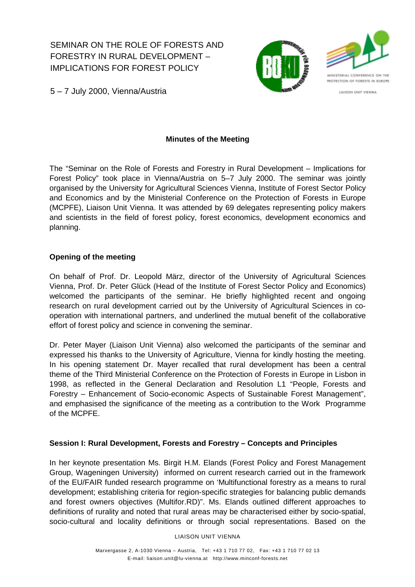SEMINAR ON THE ROLE OF FORESTS AND FORESTRY IN RURAL DEVELOPMENT – IMPLICATIONS FOR FOREST POLICY





**LLAISON UNIT VIENNA** 

5 – 7 July 2000, Vienna/Austria

# **Minutes of the Meeting**

The "Seminar on the Role of Forests and Forestry in Rural Development – Implications for Forest Policy" took place in Vienna/Austria on 5–7 July 2000. The seminar was jointly organised by the University for Agricultural Sciences Vienna, Institute of Forest Sector Policy and Economics and by the Ministerial Conference on the Protection of Forests in Europe (MCPFE), Liaison Unit Vienna. It was attended by 69 delegates representing policy makers and scientists in the field of forest policy, forest economics, development economics and planning.

# **Opening of the meeting**

On behalf of Prof. Dr. Leopold März, director of the University of Agricultural Sciences Vienna, Prof. Dr. Peter Glück (Head of the Institute of Forest Sector Policy and Economics) welcomed the participants of the seminar. He briefly highlighted recent and ongoing research on rural development carried out by the University of Agricultural Sciences in cooperation with international partners, and underlined the mutual benefit of the collaborative effort of forest policy and science in convening the seminar.

Dr. Peter Mayer (Liaison Unit Vienna) also welcomed the participants of the seminar and expressed his thanks to the University of Agriculture, Vienna for kindly hosting the meeting. In his opening statement Dr. Mayer recalled that rural development has been a central theme of the Third Ministerial Conference on the Protection of Forests in Europe in Lisbon in 1998, as reflected in the General Declaration and Resolution L1 "People, Forests and Forestry – Enhancement of Socio-economic Aspects of Sustainable Forest Management", and emphasised the significance of the meeting as a contribution to the Work Programme of the MCPFE.

## **Session I: Rural Development, Forests and Forestry – Concepts and Principles**

In her keynote presentation Ms. Birgit H.M. Elands (Forest Policy and Forest Management Group, Wageningen University) informed on current research carried out in the framework of the EU/FAIR funded research programme on 'Multifunctional forestry as a means to rural development; establishing criteria for region-specific strategies for balancing public demands and forest owners objectives (Multifor.RD)". Ms. Elands outlined different approaches to definitions of rurality and noted that rural areas may be characterised either by socio-spatial, socio-cultural and locality definitions or through social representations. Based on the

LIAISON UNIT VIENNA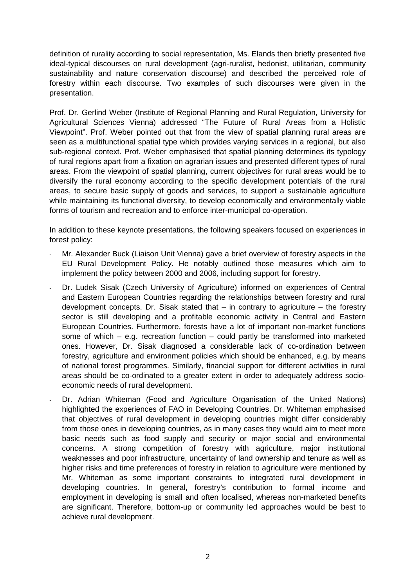definition of rurality according to social representation, Ms. Elands then briefly presented five ideal-typical discourses on rural development (agri-ruralist, hedonist, utilitarian, community sustainability and nature conservation discourse) and described the perceived role of forestry within each discourse. Two examples of such discourses were given in the presentation.

Prof. Dr. Gerlind Weber (Institute of Regional Planning and Rural Regulation, University for Agricultural Sciences Vienna) addressed "The Future of Rural Areas from a Holistic Viewpoint". Prof. Weber pointed out that from the view of spatial planning rural areas are seen as a multifunctional spatial type which provides varying services in a regional, but also sub-regional context. Prof. Weber emphasised that spatial planning determines its typology of rural regions apart from a fixation on agrarian issues and presented different types of rural areas. From the viewpoint of spatial planning, current objectives for rural areas would be to diversify the rural economy according to the specific development potentials of the rural areas, to secure basic supply of goods and services, to support a sustainable agriculture while maintaining its functional diversity, to develop economically and environmentally viable forms of tourism and recreation and to enforce inter-municipal co-operation.

In addition to these keynote presentations, the following speakers focused on experiences in forest policy:

- Mr. Alexander Buck (Liaison Unit Vienna) gave a brief overview of forestry aspects in the EU Rural Development Policy. He notably outlined those measures which aim to implement the policy between 2000 and 2006, including support for forestry.
- Dr. Ludek Sisak (Czech University of Agriculture) informed on experiences of Central and Eastern European Countries regarding the relationships between forestry and rural development concepts. Dr. Sisak stated that  $-$  in contrary to agriculture  $-$  the forestry sector is still developing and a profitable economic activity in Central and Eastern European Countries. Furthermore, forests have a lot of important non-market functions some of which – e.g. recreation function – could partly be transformed into marketed ones. However, Dr. Sisak diagnosed a considerable lack of co-ordination between forestry, agriculture and environment policies which should be enhanced, e.g. by means of national forest programmes. Similarly, financial support for different activities in rural areas should be co-ordinated to a greater extent in order to adequately address socioeconomic needs of rural development.
- Dr. Adrian Whiteman (Food and Agriculture Organisation of the United Nations) highlighted the experiences of FAO in Developing Countries. Dr. Whiteman emphasised that objectives of rural development in developing countries might differ considerably from those ones in developing countries, as in many cases they would aim to meet more basic needs such as food supply and security or major social and environmental concerns. A strong competition of forestry with agriculture, major institutional weaknesses and poor infrastructure, uncertainty of land ownership and tenure as well as higher risks and time preferences of forestry in relation to agriculture were mentioned by Mr. Whiteman as some important constraints to integrated rural development in developing countries. In general, forestry's contribution to formal income and employment in developing is small and often localised, whereas non-marketed benefits are significant. Therefore, bottom-up or community led approaches would be best to achieve rural development.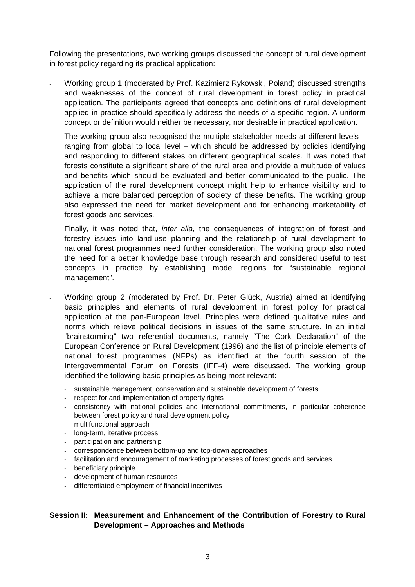Following the presentations, two working groups discussed the concept of rural development in forest policy regarding its practical application:

- Working group 1 (moderated by Prof. Kazimierz Rykowski, Poland) discussed strengths and weaknesses of the concept of rural development in forest policy in practical application. The participants agreed that concepts and definitions of rural development applied in practice should specifically address the needs of a specific region. A uniform concept or definition would neither be necessary, nor desirable in practical application.

The working group also recognised the multiple stakeholder needs at different levels – ranging from global to local level – which should be addressed by policies identifying and responding to different stakes on different geographical scales. It was noted that forests constitute a significant share of the rural area and provide a multitude of values and benefits which should be evaluated and better communicated to the public. The application of the rural development concept might help to enhance visibility and to achieve a more balanced perception of society of these benefits. The working group also expressed the need for market development and for enhancing marketability of forest goods and services.

Finally, it was noted that, *inter alia,* the consequences of integration of forest and forestry issues into land-use planning and the relationship of rural development to national forest programmes need further consideration. The working group also noted the need for a better knowledge base through research and considered useful to test concepts in practice by establishing model regions for "sustainable regional management".

- Working group 2 (moderated by Prof. Dr. Peter Glück, Austria) aimed at identifying basic principles and elements of rural development in forest policy for practical application at the pan-European level. Principles were defined qualitative rules and norms which relieve political decisions in issues of the same structure. In an initial "brainstorming" two referential documents, namely "The Cork Declaration" of the European Conference on Rural Development (1996) and the list of principle elements of national forest programmes (NFPs) as identified at the fourth session of the Intergovernmental Forum on Forests (IFF-4) were discussed. The working group identified the following basic principles as being most relevant:
	- sustainable management, conservation and sustainable development of forests
	- respect for and implementation of property rights
	- consistency with national policies and international commitments, in particular coherence between forest policy and rural development policy
	- multifunctional approach
	- long-term, iterative process
	- participation and partnership
	- correspondence between bottom-up and top-down approaches
	- facilitation and encouragement of marketing processes of forest goods and services
	- beneficiary principle
	- development of human resources
	- differentiated employment of financial incentives

# **Session II: Measurement and Enhancement of the Contribution of Forestry to Rural Development – Approaches and Methods**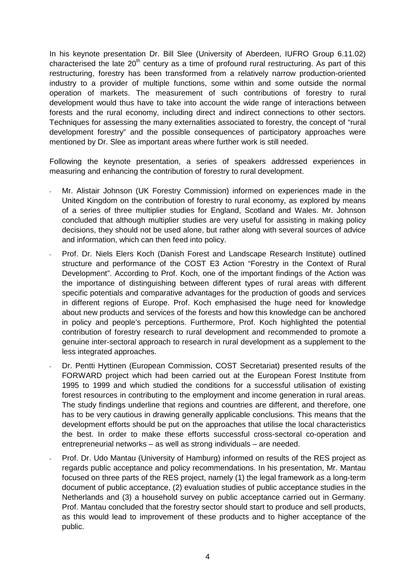In his keynote presentation Dr. Bill Slee (University of Aberdeen, IUFRO Group 6.11.02) characterised the late  $20<sup>th</sup>$  century as a time of profound rural restructuring. As part of this restructuring, forestry has been transformed from a relatively narrow production-oriented industry to a provider of multiple functions, some within and some outside the normal operation of markets. The measurement of such contributions of forestry to rural development would thus have to take into account the wide range of interactions between forests and the rural economy, including direct and indirect connections to other sectors. Techniques for assessing the many externalities associated to forestry, the concept of "rural development forestry" and the possible consequences of participatory approaches were mentioned by Dr. Slee as important areas where further work is still needed.

Following the keynote presentation, a series of speakers addressed experiences in measuring and enhancing the contribution of forestry to rural development.

- Mr. Alistair Johnson (UK Forestry Commission) informed on experiences made in the United Kingdom on the contribution of forestry to rural economy, as explored by means of a series of three multiplier studies for England, Scotland and Wales. Mr. Johnson concluded that although multiplier studies are very useful for assisting in making policy decisions, they should not be used alone, but rather along with several sources of advice and information, which can then feed into policy.
- Prof. Dr. Niels Elers Koch (Danish Forest and Landscape Research Institute) outlined structure and performance of the COST E3 Action "Forestry in the Context of Rural Development". According to Prof. Koch, one of the important findings of the Action was the importance of distinguishing between different types of rural areas with different specific potentials and comparative advantages for the production of goods and services in different regions of Europe. Prof. Koch emphasised the huge need for knowledge about new products and services of the forests and how this knowledge can be anchored in policy and people's perceptions. Furthermore, Prof. Koch highlighted the potential contribution of forestry research to rural development and recommended to promote a genuine inter-sectoral approach to research in rural development as a supplement to the less integrated approaches.
- Dr. Pentti Hyttinen (European Commission, COST Secretariat) presented results of the FORWARD project which had been carried out at the European Forest Institute from 1995 to 1999 and which studied the conditions for a successful utilisation of existing forest resources in contributing to the employment and income generation in rural areas. The study findings underline that regions and countries are different, and therefore, one has to be very cautious in drawing generally applicable conclusions. This means that the development efforts should be put on the approaches that utilise the local characteristics the best. In order to make these efforts successful cross-sectoral co-operation and entrepreneurial networks – as well as strong individuals – are needed.
- Prof. Dr. Udo Mantau (University of Hamburg) informed on results of the RES project as regards public acceptance and policy recommendations. In his presentation, Mr. Mantau focused on three parts of the RES project, namely (1) the legal framework as a long-term document of public acceptance, (2) evaluation studies of public acceptance studies in the Netherlands and (3) a household survey on public acceptance carried out in Germany. Prof. Mantau concluded that the forestry sector should start to produce and sell products, as this would lead to improvement of these products and to higher acceptance of the public.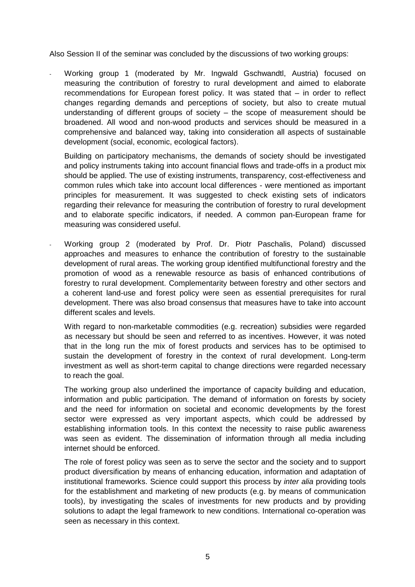Also Session II of the seminar was concluded by the discussions of two working groups:

Working group 1 (moderated by Mr. Ingwald Gschwandtl, Austria) focused on measuring the contribution of forestry to rural development and aimed to elaborate recommendations for European forest policy. It was stated that – in order to reflect changes regarding demands and perceptions of society, but also to create mutual understanding of different groups of society – the scope of measurement should be broadened. All wood and non-wood products and services should be measured in a comprehensive and balanced way, taking into consideration all aspects of sustainable development (social, economic, ecological factors).

Building on participatory mechanisms, the demands of society should be investigated and policy instruments taking into account financial flows and trade-offs in a product mix should be applied. The use of existing instruments, transparency, cost-effectiveness and common rules which take into account local differences - were mentioned as important principles for measurement. It was suggested to check existing sets of indicators regarding their relevance for measuring the contribution of forestry to rural development and to elaborate specific indicators, if needed. A common pan-European frame for measuring was considered useful.

- Working group 2 (moderated by Prof. Dr. Piotr Paschalis, Poland) discussed approaches and measures to enhance the contribution of forestry to the sustainable development of rural areas. The working group identified multifunctional forestry and the promotion of wood as a renewable resource as basis of enhanced contributions of forestry to rural development. Complementarity between forestry and other sectors and a coherent land-use and forest policy were seen as essential prerequisites for rural development. There was also broad consensus that measures have to take into account different scales and levels.

With regard to non-marketable commodities (e.g. recreation) subsidies were regarded as necessary but should be seen and referred to as incentives. However, it was noted that in the long run the mix of forest products and services has to be optimised to sustain the development of forestry in the context of rural development. Long-term investment as well as short-term capital to change directions were regarded necessary to reach the goal.

The working group also underlined the importance of capacity building and education, information and public participation. The demand of information on forests by society and the need for information on societal and economic developments by the forest sector were expressed as very important aspects, which could be addressed by establishing information tools. In this context the necessity to raise public awareness was seen as evident. The dissemination of information through all media including internet should be enforced.

The role of forest policy was seen as to serve the sector and the society and to support product diversification by means of enhancing education, information and adaptation of institutional frameworks. Science could support this process by *inter alia* providing tools for the establishment and marketing of new products (e.g. by means of communication tools), by investigating the scales of investments for new products and by providing solutions to adapt the legal framework to new conditions. International co-operation was seen as necessary in this context.